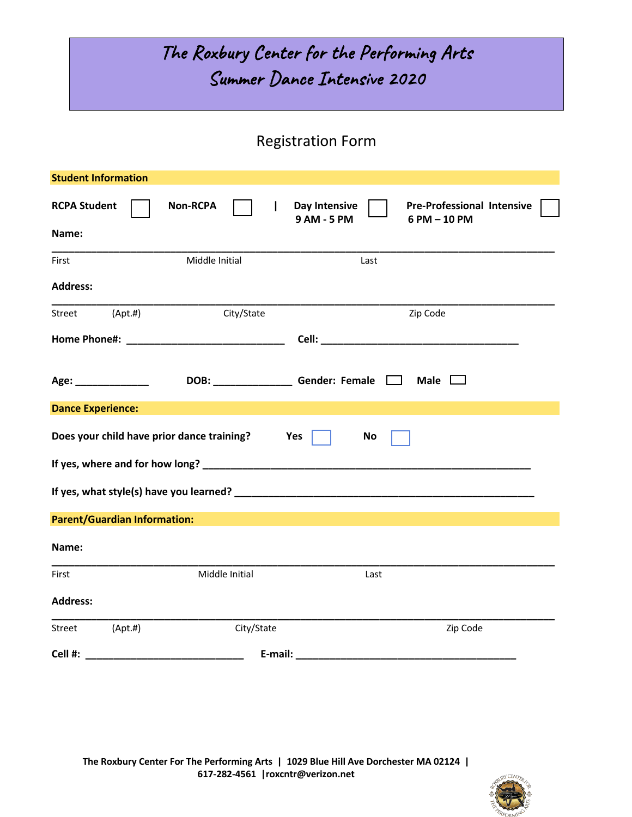## The Roxbury Center for the Performing Arts Summer Dance Intensive 2020

## Registration Form

| <b>Student Information</b>          |          |                                                      |     |                              |           |                                                                                                                                                                                                                                |  |
|-------------------------------------|----------|------------------------------------------------------|-----|------------------------------|-----------|--------------------------------------------------------------------------------------------------------------------------------------------------------------------------------------------------------------------------------|--|
| <b>RCPA Student</b><br>Name:        |          | <b>Non-RCPA</b>                                      |     | Day Intensive<br>9 AM - 5 PM |           | <b>Pre-Professional Intensive</b><br>6 PM - 10 PM                                                                                                                                                                              |  |
| First                               |          | Middle Initial                                       |     |                              | Last      |                                                                                                                                                                                                                                |  |
| <b>Address:</b>                     |          |                                                      |     |                              |           |                                                                                                                                                                                                                                |  |
| Street                              | (Apt. #) | City/State                                           |     |                              |           | Zip Code                                                                                                                                                                                                                       |  |
|                                     |          |                                                      |     |                              |           |                                                                                                                                                                                                                                |  |
| Age: ______________                 |          | DOB: _________________________Gender: Female   _____ |     |                              |           | Male $\Box$                                                                                                                                                                                                                    |  |
| <b>Dance Experience:</b>            |          |                                                      |     |                              |           |                                                                                                                                                                                                                                |  |
|                                     |          | Does your child have prior dance training?           | Yes |                              | <b>No</b> |                                                                                                                                                                                                                                |  |
|                                     |          |                                                      |     |                              |           |                                                                                                                                                                                                                                |  |
|                                     |          |                                                      |     |                              |           |                                                                                                                                                                                                                                |  |
| <b>Parent/Guardian Information:</b> |          |                                                      |     |                              |           |                                                                                                                                                                                                                                |  |
| Name:                               |          |                                                      |     |                              |           |                                                                                                                                                                                                                                |  |
| First                               |          | Middle Initial                                       |     |                              | Last      |                                                                                                                                                                                                                                |  |
| <b>Address:</b>                     |          |                                                      |     |                              |           |                                                                                                                                                                                                                                |  |
| Street                              | (Apt.#)  | City/State                                           |     |                              |           | Zip Code                                                                                                                                                                                                                       |  |
| Cell #:                             |          |                                                      |     |                              |           | E-mail: E-mail: E-mail: E-mail: E-mail: E-mail: E-mail: E-mail: E-mail: E-mail: E-mail: E-mail: E-mail: E-mail: E-mail: E-mail: E-mail: E-mail: E-mail: E-mail: E-mail: E-mail: E-mail: E-mail: E-mail: E-mail: E-mail: E-mail |  |